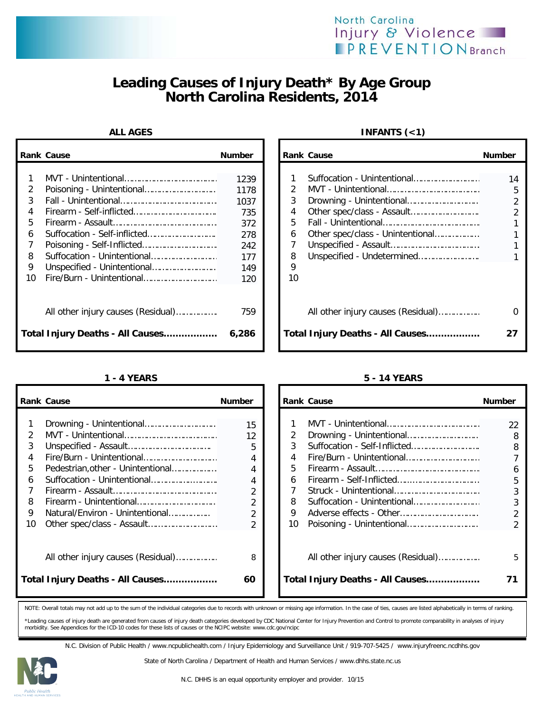



## **Leading Causes of Injury Death\* By Age Group North Carolina Residents, 2014**

|                       | <b>Rank Cause</b>                  | <b>Number</b>                                    |                        | <b>Rank Cause</b>                  | <b>Number</b>                                    |
|-----------------------|------------------------------------|--------------------------------------------------|------------------------|------------------------------------|--------------------------------------------------|
| 2<br>3<br>4<br>5<br>6 |                                    | 1239<br>1178<br>1037<br>735<br>372<br>278<br>242 | 2<br>3<br>4<br>5.<br>6 | Other spec/class - Unintentional   | 14<br>5<br>$\overline{2}$<br>$\overline{2}$<br>1 |
| 8                     |                                    | 177                                              | 8                      |                                    |                                                  |
| 9<br>10               |                                    | 149<br>120                                       | 9<br>10                |                                    |                                                  |
|                       | All other injury causes (Residual) | 759                                              |                        | All other injury causes (Residual) | 0                                                |
|                       | Total Injury Deaths - All Causes   | 6,286                                            |                        | Total Injury Deaths - All Causes   | 27                                               |

|    | <b>Rank Cause</b>                  | <b>Number</b> |    | <b>Rank Cause</b>                  | <b>Number</b>  |
|----|------------------------------------|---------------|----|------------------------------------|----------------|
|    |                                    |               |    |                                    |                |
|    |                                    | 15            |    |                                    | 22             |
|    |                                    | 12            | 2  | Drowning - Unintentional           | 8              |
| 3  |                                    | 5             | 3  |                                    | 8              |
| 4  |                                    | 4             | 4  | Fire/Burn - Unintentional          |                |
| 5. | Pedestrian, other - Unintentional  | 4             | 5. |                                    | 6              |
| 6  |                                    | 4             | 6  |                                    | 5              |
|    |                                    |               |    |                                    |                |
| 8  |                                    |               | 8  | Suffocation - Unintentional        |                |
| 9  | Natural/Environ - Unintentional    | 2             | 9  |                                    | $\overline{2}$ |
| 10 |                                    |               | 10 |                                    |                |
|    |                                    |               |    |                                    |                |
|    |                                    |               |    |                                    |                |
|    | All other injury causes (Residual) | 8             |    | All other injury causes (Residual) | 5              |
|    |                                    |               |    |                                    |                |
|    | Total Injury Deaths - All Causes   | 60            |    | Total Injury Deaths - All Causes   | 71             |
|    |                                    |               |    |                                    |                |

## **ALL AGES INFANTS (<1)**

|                                 | ank Cause                                                             | <b>Number</b>                                    |                                   | <b>Rank Cause</b>                                                      | <b>Number</b>                 |
|---------------------------------|-----------------------------------------------------------------------|--------------------------------------------------|-----------------------------------|------------------------------------------------------------------------|-------------------------------|
| 1<br>2<br>3<br>4<br>5<br>6<br>7 |                                                                       | 1239<br>1178<br>1037<br>735<br>372<br>278<br>242 | $\mathcal{P}$<br>3<br>4<br>5<br>6 | Suffocation - Unintentional<br>Other spec/class - Unintentional        | 14<br>5<br>2<br>$\mathcal{P}$ |
| 8<br>9<br>۱n                    |                                                                       | 177<br>149<br>120                                | 8<br>9<br>10                      |                                                                        |                               |
|                                 | All other injury causes (Residual)<br>otal Injury Deaths - All Causes | 759<br>6,286                                     |                                   | All other injury causes (Residual)<br>Total Injury Deaths - All Causes |                               |

## **1 - 4 YEARS 5 - 14 YEARS**

|                                                 | ank Cause                                                             | <b>Number</b>                                                                             |                                        | Rank Cause                                                             | <b>Number</b>          |
|-------------------------------------------------|-----------------------------------------------------------------------|-------------------------------------------------------------------------------------------|----------------------------------------|------------------------------------------------------------------------|------------------------|
| 1<br>2<br>3<br>4<br>5<br>6<br>7<br>8<br>9<br>10 | Pedestrian, other - Unintentional<br>Natural/Environ - Unintentional  | 15<br>12<br>5<br>4<br>$\overline{2}$<br>$\overline{2}$<br>$\overline{2}$<br>$\mathcal{P}$ | 2<br>3<br>4<br>5.<br>6<br>8<br>9<br>10 | Suffocation - Unintentional                                            | 22<br>8<br>8<br>6<br>5 |
|                                                 | All other injury causes (Residual)<br>otal Injury Deaths - All Causes | 8<br>60                                                                                   |                                        | All other injury causes (Residual)<br>Total Injury Deaths - All Causes |                        |

NOTE: Overall totals may not add up to the sum of the individual categories due to records with unknown or missing age information. In the case of ties, causes are listed alphabetically in terms of ranking.

\*Leading causes of injury death are generated from causes of injury death categories developed by CDC National Center for Injury Prevention and Control to promote comparability in analyses of injury<br>morbidity. See Appendic

N.C. Division of Public Health / www.ncpublichealth.com / Injury Epidemiology and Surveillance Unit / 919-707-5425 / www.injuryfreenc.ncdhhs.gov



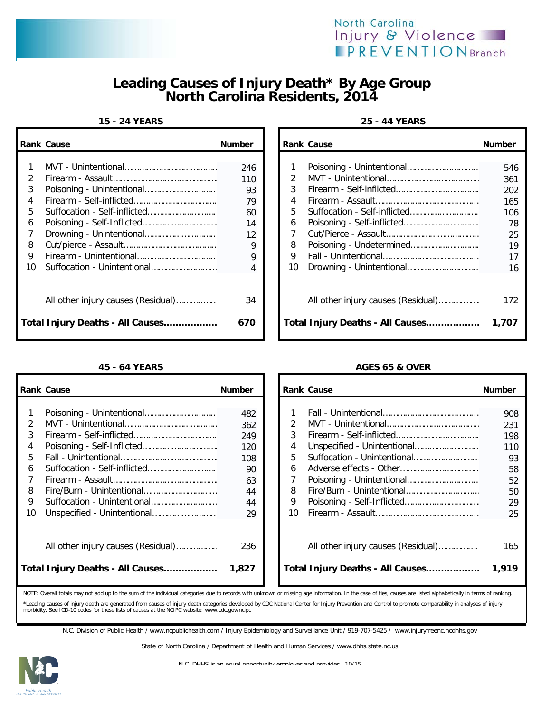



## **Leading Causes of Injury Death\* By Age Group North Carolina Residents, 2014**

### **15 - 24 YEARS 25 - 44 YEARS**

|         | <b>Rank Cause</b>                  | <b>Number</b> |         | <b>Rank Cause</b>                  | <b>Number</b> |
|---------|------------------------------------|---------------|---------|------------------------------------|---------------|
|         |                                    | 246           |         |                                    | 546           |
| 3       |                                    | 110<br>93     | 3       |                                    | 361<br>202    |
|         |                                    | 79            | 4       |                                    | 165           |
| 5<br>6  |                                    | 60<br>14      | 5.<br>6 |                                    | 106<br>78     |
|         |                                    | 12            |         |                                    | 25            |
| 8       |                                    | 9             | 8       |                                    | 19            |
| 9<br>10 | Firearm - Unintentional            | 9<br>4        | 9<br>10 |                                    | 17<br>16      |
|         |                                    |               |         |                                    |               |
|         | All other injury causes (Residual) | 34            |         | All other injury causes (Residual) | 172           |
|         | Total Injury Deaths - All Causes   | 670           |         | Total Injury Deaths - All Causes   | 1,707         |

|                                              | ank Cause                                                             | <b>Number</b>                            |                                    | <b>Rank Cause</b>                                                      | <b>Number</b>                               |
|----------------------------------------------|-----------------------------------------------------------------------|------------------------------------------|------------------------------------|------------------------------------------------------------------------|---------------------------------------------|
| 1<br>$\overline{2}$<br>3<br>4<br>5<br>6<br>7 |                                                                       | 246<br>110<br>93<br>79<br>60<br>14<br>12 | $\mathcal{P}$<br>3<br>4<br>5.<br>6 |                                                                        | 546<br>361<br>202<br>165<br>106<br>78<br>25 |
| 8<br>9<br>١O                                 |                                                                       | 9<br>9<br>4                              | 8<br>9<br>10                       |                                                                        | 19<br>17<br>16                              |
|                                              | All other injury causes (Residual)<br>otal Injury Deaths - All Causes | 34<br>670                                |                                    | All other injury causes (Residual)<br>Total Injury Deaths - All Causes | 172<br>1,707                                |

### **45 - 64 YEARS AGES 65 & OVER**

|               | <b>Rank Cause</b>                  | <b>Number</b> |    | <b>Rank Cause</b>                  | <b>Number</b> |
|---------------|------------------------------------|---------------|----|------------------------------------|---------------|
|               |                                    | 482           |    |                                    | 908           |
| $\mathcal{P}$ |                                    | 362           |    |                                    | 231           |
| 3             |                                    | 249           | 3  |                                    | 198           |
| 4             |                                    | 120           | 4  |                                    | 110           |
| 5.            |                                    | 108           | 5  | Suffocation - Unintentional        | 93            |
| 6             |                                    | 90            | 6  |                                    | 58            |
|               |                                    | 63            |    |                                    | 52            |
| 8             |                                    | 44            | 8  | Fire/Burn - Unintentional          | 50            |
| 9             |                                    | 44            | 9  |                                    | 29            |
| 10            |                                    | 29            | 10 |                                    | 25            |
|               | All other injury causes (Residual) | 236           |    | All other injury causes (Residual) | 165           |
|               | Total Injury Deaths - All Causes   | 1,827         |    | Total Injury Deaths - All Causes   | 1,919         |

| Cause                                                                                                                                                                                                 | <b>Number</b> |    | <b>Rank Cause</b>                  | <b>Number</b> |
|-------------------------------------------------------------------------------------------------------------------------------------------------------------------------------------------------------|---------------|----|------------------------------------|---------------|
| Poisoning - Unintentional                                                                                                                                                                             | 482           |    |                                    | 908           |
|                                                                                                                                                                                                       | 362           | 2  |                                    | 231           |
|                                                                                                                                                                                                       | 249           | 3  |                                    | 198           |
| Poisoning - Self-Inflicted                                                                                                                                                                            | 120           | 4  |                                    | 110           |
|                                                                                                                                                                                                       | 108           | 5  | Suffocation - Unintentional        | 93            |
| Suffocation - Self-inflicted                                                                                                                                                                          | 90            | 6  |                                    | 58            |
|                                                                                                                                                                                                       | 63            |    |                                    | 52            |
| Fire/Burn - Unintentional                                                                                                                                                                             | 44            | 8  |                                    | 50            |
| Suffocation - Unintentional                                                                                                                                                                           | 44            | 9  |                                    | 29            |
|                                                                                                                                                                                                       | 29            | 10 |                                    | 25            |
|                                                                                                                                                                                                       |               |    |                                    |               |
| All other injury causes (Residual)                                                                                                                                                                    | 236           |    | All other injury causes (Residual) | 165           |
| Injury Deaths - All Causes                                                                                                                                                                            | 1,827         |    | Total Injury Deaths - All Causes   | 1,919         |
| usell totals may not add un to the sum of the individual estegacies due to records with unknown or missing age information. In the sase of ties, causes are listed alphabetically in terms of rapking |               |    |                                    |               |

NOTE: Overall totals may not add up to the sum of the individual categories due to records with unknown or missing age information. In the case of ties, causes are listed alphabetically in terms \*Leading causes of injury death are generated from causes of injury death categories developed by CDC National Center for Injury Prevention and Control to promote comparability in analyses of injury<br>morbidity. See ICD-10 c

N.C. Division of Public Health / www.ncpublichealth.com / Injury Epidemiology and Surveillance Unit / 919-707-5425 / www.injuryfreenc.ncdhhs.gov

State of North Carolina / Department of Health and Human Services / www.dhhs.state.nc.us



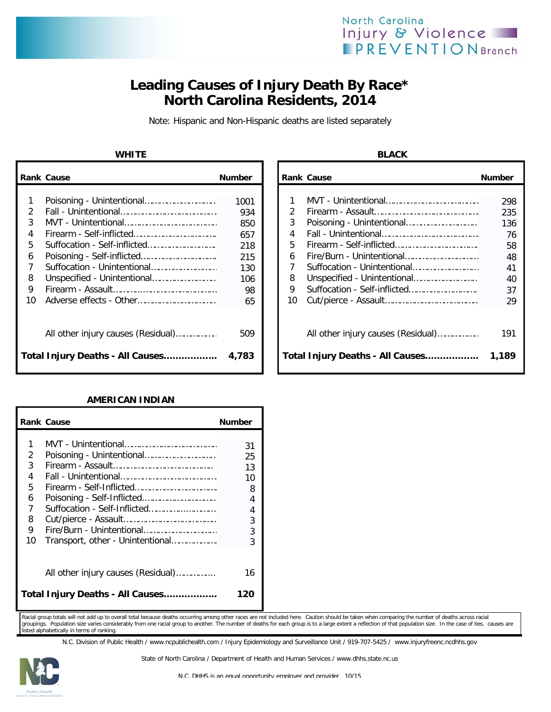## North Carolina Injury & Violence **IPREVENTIONBranch**

# **Leading Causes of Injury Death By Race\* North Carolina Residents, 2014**

Note: Hispanic and Non-Hispanic deaths are listed separately

### **WHITE BLACK**

|    | <b>Rank Cause</b>                  | <b>Number</b> |               | <b>Rank Cause</b>                  | <b>Number</b> |
|----|------------------------------------|---------------|---------------|------------------------------------|---------------|
|    |                                    | 1001          |               |                                    | 298           |
|    |                                    | 934           | $\mathcal{P}$ |                                    | 235           |
| 3  |                                    | 850           | 3             |                                    | 136           |
|    |                                    | 657           | 4             |                                    | 76            |
| 5  | Suffocation - Self-inflicted       | 218           | 5.            |                                    | 58            |
| 6  |                                    | 215           | 6             |                                    | 48            |
|    |                                    | 130           |               | Suffocation - Unintentional        | 41            |
| 8  |                                    | 106           | 8             |                                    | 40            |
| 9  |                                    | 98            | 9             |                                    | 37            |
| 10 |                                    | 65            | 10            |                                    | 29            |
|    | All other injury causes (Residual) | 509           |               | All other injury causes (Residual) | 191           |
|    | Total Injury Deaths - All Causes   | 4,783         |               | Total Injury Deaths - All Causes   | 1,189         |

### **AMERICAN INDIAN**

|    | <b>Rank Cause</b>                  | <b>Number</b> |
|----|------------------------------------|---------------|
|    |                                    |               |
| 1  |                                    | 31            |
| 2  | Poisoning - Unintentional          | 25            |
| 3  |                                    | 13            |
| 4  |                                    | 10            |
| 5  |                                    | 8             |
| 6  | Poisoning - Self-Inflicted         | 4             |
| 7  | Suffocation - Self-Inflicted       | 4             |
| 8  |                                    | 3             |
| 9  | Fire/Burn - Unintentional          | 3             |
| 10 | Transport, other - Unintentional   | 3             |
|    |                                    |               |
|    | All other injury causes (Residual) | 16            |
|    | Total Injury Deaths - All Causes   | 120           |

Racial group totals will not add up to overall total because deaths occurring among other races are not included here. Caution should be taken when comparing the number of deaths across racial groupings. Population size varies considerably from one racial group to another. The number of deaths for each group is to a large extent a reflection of that population size. In the case of ties, causes are listed alphabetically in terms of ranking.

N.C. Division of Public Health / www.ncpublichealth.com / Injury Epidemiology and Surveillance Unit / 919-707-5425 / www.injuryfreenc.ncdhhs.gov



State of North Carolina / Department of Health and Human Services / www.dhhs.state.nc.us

| Cause                                                                                    | <b>Number</b>                        |                               | <b>Rank Cause</b>                                                      | <b>Number</b>                    |
|------------------------------------------------------------------------------------------|--------------------------------------|-------------------------------|------------------------------------------------------------------------|----------------------------------|
| Poisoning - Unintentional<br>Suffocation - Self-inflicted                                | 1001<br>934<br>850<br>657            | $\mathcal{P}$<br>3<br>4<br>5. |                                                                        | 298<br>235<br>136<br>76          |
| Poisoning - Self-inflicted<br>Suffocation - Unintentional<br>Unspecified - Unintentional | 218<br>215<br>130<br>106<br>98<br>65 | 6<br>8<br>9<br>10             | Suffocation - Unintentional                                            | 58<br>48<br>41<br>40<br>37<br>29 |
| All other injury causes (Residual)<br>Injury Deaths - All Causes                         | 509<br>4,783                         |                               | All other injury causes (Residual)<br>Total Injury Deaths - All Causes | 191<br>1,189                     |